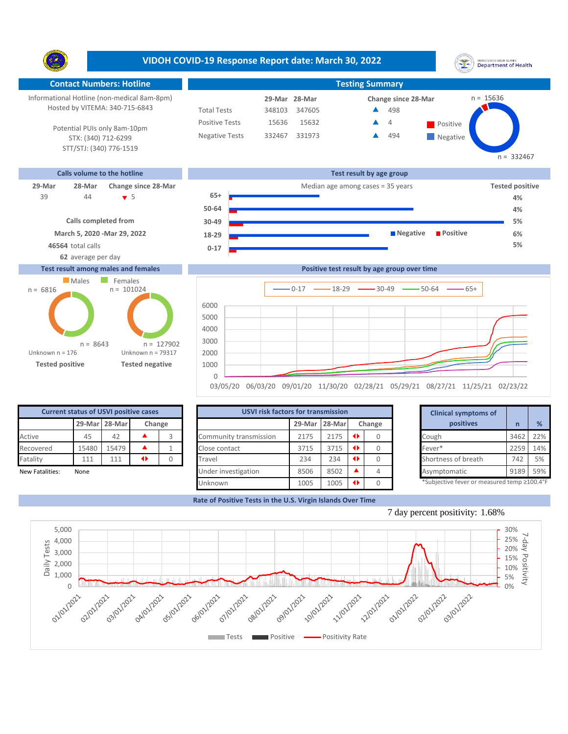**VIDOH COVID-19 Response Report date: March 30, 2022** UNITED STATES VIRGIN SLANDS<br>Department of Health Y. **Contact Numbers: Hotline Testing Summary** Informational Hotline (non-medical 8am-8pm) n = 15636 **29-Mar Change since 28-Mar 28-Mar** Hosted by VITEMA: 340-715-6843 Total Tests 348103 347605 498 ▲ Positive Tests 4 15636 15632  $\triangle$  4 Positive  $\blacktriangle$ Potential PUIs only 8am-10pm Negative Tests 332467 331973 494 ▲ **Negative** STX: (340) 712-6299 STT/STJ: (340) 776-1519  $n = 332467$ **Calls volume to the hotline Test result by age group 29-Mar 28-Mar Change since 28-Mar** Median age among cases = 35 years **Tested positive** 44 5 **65+** 39 **4%**

**March 5, 2020 -Mar 29, 2022 Calls completed from**

## **Test result among males and females**



| 44<br>$\bullet$ 5                                                                                                    | $65+$     | 4%                                          |  |
|----------------------------------------------------------------------------------------------------------------------|-----------|---------------------------------------------|--|
|                                                                                                                      | $50 - 64$ | 4%                                          |  |
| Calls completed from                                                                                                 | $30 - 49$ | 5%                                          |  |
| March 5, 2020 - Mar 29, 2022                                                                                         | 18-29     | <b>Positive</b><br>■ Negative<br>6%         |  |
| 46564 total calls                                                                                                    | $0 - 17$  | 5%                                          |  |
| 62 average per day                                                                                                   |           |                                             |  |
| st result among males and females                                                                                    |           | Positive test result by age group over time |  |
| the company of the company of the company of the company of the company of the company of the company of the company |           |                                             |  |



| <b>Current status of USVI positive cases</b> |                         |       |  |  |  |  |  |  |  |
|----------------------------------------------|-------------------------|-------|--|--|--|--|--|--|--|
|                                              | 29-Mar 28-Mar<br>Change |       |  |  |  |  |  |  |  |
| Active                                       | 45                      | 42    |  |  |  |  |  |  |  |
| Recovered                                    | 15480                   | 15479 |  |  |  |  |  |  |  |
| Fatality                                     | 111                     | 111   |  |  |  |  |  |  |  |
| Now Entalities:<br><b>Nono</b>               |                         |       |  |  |  |  |  |  |  |

|                 | <b>Current status of USVI positive cases</b> |               |                 |        |                        | <b>USVI risk factors for transmission</b> |        |  |        |  |                                            |      |     |
|-----------------|----------------------------------------------|---------------|-----------------|--------|------------------------|-------------------------------------------|--------|--|--------|--|--------------------------------------------|------|-----|
|                 |                                              | 29-Mar 28-Mar |                 | Change |                        | 29-Mar                                    | 28-Mar |  | Change |  | positives                                  |      | %   |
| Active          | 45                                           | 42            |                 |        | Community transmission | 2175                                      | 2175   |  |        |  | Cough                                      | 3462 | 22% |
| Recovered       | 15480                                        | 15479         |                 |        | Close contact          | 3715                                      | 3715   |  |        |  | Fever*                                     | 2259 | 14% |
| Fatality        | 111                                          | 111           | $\blacklozenge$ |        | Travel                 | 234                                       | 234    |  |        |  | Shortness of breath                        | 742  | 5%  |
| New Fatalities: | None                                         |               |                 |        | Under investigation    | 8506                                      | 8502   |  |        |  | Asymptomatic                               | 9189 | 59% |
|                 |                                              |               |                 |        | Unknown                | 1005                                      | 1005   |  |        |  | *Subjective fever or measured temp ≥100.4° |      |     |

|        | for transmission |   |        |           | <b>Clinical symptoms of</b>                 |      |     |
|--------|------------------|---|--------|-----------|---------------------------------------------|------|-----|
| 29-Mar | 28-Mar           |   | Change | positives |                                             | n    | %   |
| 2175   | 2175             | O | 0      |           | Cough                                       | 3462 | 22% |
| 3715   | 3715             | O |        |           | Fever*                                      | 2259 | 14% |
| 234    | 234              | ◆ | 0      |           | Shortness of breath                         | 742  | 5%  |
| 8506   | 8502             |   |        |           | Asymptomatic                                | 9189 | 59% |
| 1005   | 1005             |   |        |           | *Subjective fever or measured temp >100.4°F |      |     |

**Rate of Positive Tests in the U.S. Virgin Islands Over Time**